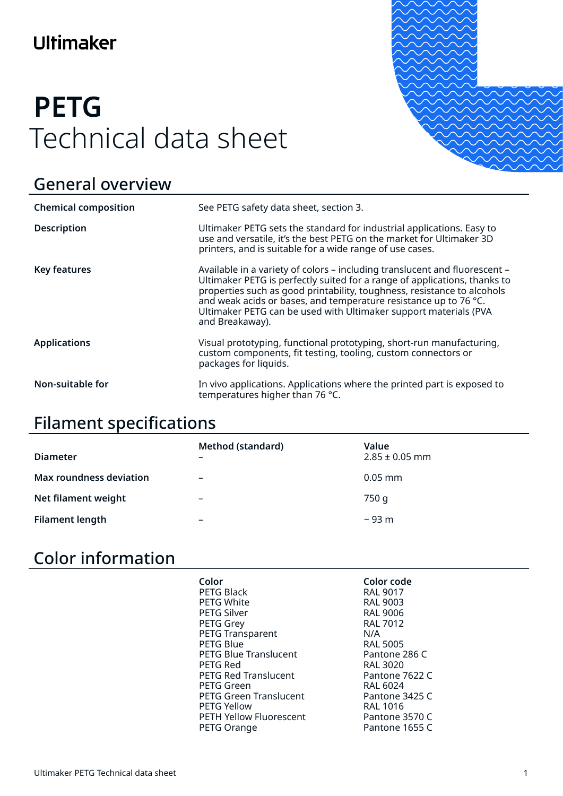# Ultimaker

# **PETG** Technical data sheet



# General overview

| <b>Chemical composition</b> | See PETG safety data sheet, section 3.                                                                                                                                                                                                                                                                                                                                                        |
|-----------------------------|-----------------------------------------------------------------------------------------------------------------------------------------------------------------------------------------------------------------------------------------------------------------------------------------------------------------------------------------------------------------------------------------------|
| <b>Description</b>          | Ultimaker PETG sets the standard for industrial applications. Easy to<br>use and versatile, it's the best PETG on the market for Ultimaker 3D<br>printers, and is suitable for a wide range of use cases.                                                                                                                                                                                     |
| <b>Key features</b>         | Available in a variety of colors - including translucent and fluorescent -<br>Ultimaker PETG is perfectly suited for a range of applications, thanks to<br>properties such as good printability, toughness, resistance to alcohols<br>and weak acids or bases, and temperature resistance up to 76 °C.<br>Ultimaker PETG can be used with Ultimaker support materials (PVA<br>and Breakaway). |
| <b>Applications</b>         | Visual prototyping, functional prototyping, short-run manufacturing,<br>custom components, fit testing, tooling, custom connectors or<br>packages for liquids.                                                                                                                                                                                                                                |
| Non-suitable for            | In vivo applications. Applications where the printed part is exposed to<br>temperatures higher than 76 °C.                                                                                                                                                                                                                                                                                    |

# Filament specifications

| <b>Diameter</b>                | <b>Method (standard)</b><br>$\overline{\phantom{0}}$ | Value<br>$2.85 \pm 0.05$ mm |
|--------------------------------|------------------------------------------------------|-----------------------------|
| <b>Max roundness deviation</b> | $\overline{\phantom{0}}$                             | $0.05$ mm                   |
| Net filament weight            | $\overline{\phantom{0}}$                             | 750 g                       |
| <b>Filament length</b>         | $\overline{\phantom{0}}$                             | $\sim$ 93 m                 |

# Color information

| Color<br>PETG Black<br><b>PETG White</b><br><b>PETG Silver</b><br>PETG Grey<br><b>PETG Transparent</b><br><b>PETG Blue</b><br><b>PETG Blue Translucent</b><br>PETG Red<br><b>PETG Red Translucent</b><br>PETG Green<br><b>PETG Green Translucent</b><br><b>PETG Yellow</b> | Color code<br><b>RAL 9017</b><br><b>RAL 9003</b><br><b>RAL 9006</b><br><b>RAL 7012</b><br>N/A<br><b>RAL 5005</b><br>Pantone 286 C<br><b>RAL 3020</b><br>Pantone 7622 C<br>RAL 6024<br>Pantone 3425 C<br><b>RAL 1016</b> |
|----------------------------------------------------------------------------------------------------------------------------------------------------------------------------------------------------------------------------------------------------------------------------|-------------------------------------------------------------------------------------------------------------------------------------------------------------------------------------------------------------------------|
| <b>PETH Yellow Fluorescent</b><br>PETG Orange                                                                                                                                                                                                                              | Pantone 3570 C<br>Pantone 1655 C                                                                                                                                                                                        |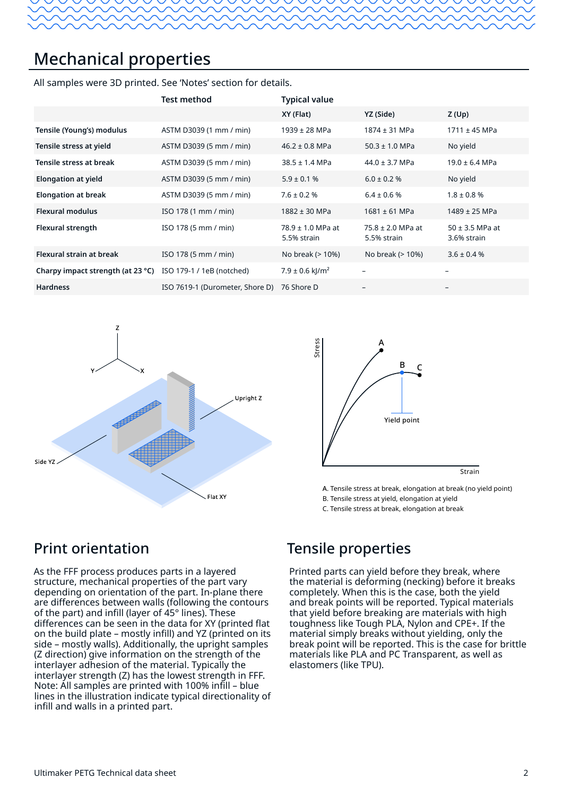# Mechanical properties

All samples were 3D printed. See 'Notes' section for details.

|                                   | <b>Test method</b>              | <b>Typical value</b>                 |                                      |                                    |
|-----------------------------------|---------------------------------|--------------------------------------|--------------------------------------|------------------------------------|
|                                   |                                 | XY (Flat)                            | YZ (Side)                            | Z(Up)                              |
| Tensile (Young's) modulus         | ASTM D3039 (1 mm / min)         | $1939 \pm 28$ MPa                    | 1874 ± 31 MPa                        | $1711 \pm 45$ MPa                  |
| Tensile stress at yield           | ASTM D3039 (5 mm / min)         | $46.2 \pm 0.8$ MPa                   | $50.3 \pm 1.0$ MPa                   | No yield                           |
| Tensile stress at break           | ASTM D3039 (5 mm / min)         | $38.5 \pm 1.4$ MPa                   | $44.0 \pm 3.7$ MPa                   | $19.0 \pm 6.4$ MPa                 |
| <b>Elongation at yield</b>        | ASTM D3039 (5 mm / min)         | $5.9 \pm 0.1$ %                      | $6.0 \pm 0.2$ %                      | No yield                           |
| <b>Elongation at break</b>        | ASTM D3039 (5 mm / min)         | $7.6 \pm 0.2$ %                      | $6.4 \pm 0.6$ %                      | $1.8 \pm 0.8$ %                    |
| <b>Flexural modulus</b>           | ISO 178 (1 mm / min)            | 1882 ± 30 MPa                        | $1681 \pm 61$ MPa                    | $1489 \pm 25$ MPa                  |
| <b>Flexural strength</b>          | ISO 178 (5 mm / min)            | $78.9 \pm 1.0$ MPa at<br>5.5% strain | $75.8 \pm 2.0$ MPa at<br>5.5% strain | $50 \pm 3.5$ MPa at<br>3.6% strain |
| Flexural strain at break          | ISO 178 (5 mm / min)            | No break (> 10%)                     | No break (> 10%)                     | $3.6 \pm 0.4$ %                    |
| Charpy impact strength (at 23 °C) | ISO 179-1 / 1eB (notched)       | $7.9 \pm 0.6$ kJ/m <sup>2</sup>      |                                      | -                                  |
| <b>Hardness</b>                   | ISO 7619-1 (Durometer, Shore D) | 76 Shore D                           |                                      | $\overline{\phantom{m}}$           |





A. Tensile stress at break, elongation at break (no yield point) B. Tensile stress at yield, elongation at yield

C. Tensile stress at break, elongation at break

#### Print orientation

As the FFF process produces parts in a layered structure, mechanical properties of the part vary depending on orientation of the part. In-plane there are differences between walls (following the contours of the part) and infill (layer of 45° lines). These differences can be seen in the data for XY (printed flat on the build plate – mostly infill) and YZ (printed on its side – mostly walls). Additionally, the upright samples (Z direction) give information on the strength of the interlayer adhesion of the material. Typically the interlayer strength (Z) has the lowest strength in FFF. Note: All samples are printed with 100% infill – blue lines in the illustration indicate typical directionality of infill and walls in a printed part.

#### Tensile properties

Printed parts can yield before they break, where the material is deforming (necking) before it breaks completely. When this is the case, both the yield and break points will be reported. Typical materials that yield before breaking are materials with high toughness like Tough PLA, Nylon and CPE+. If the material simply breaks without yielding, only the break point will be reported. This is the case for brittle materials like PLA and PC Transparent, as well as elastomers (like TPU).